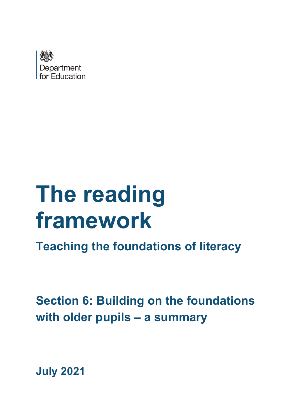

# **The reading framework**

**Teaching the foundations of literacy**

**Section 6: Building on the foundations with older pupils – a summary**

**July 2021**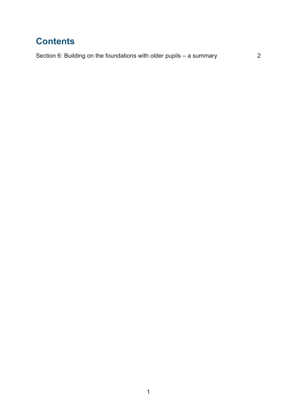## **Contents**

[Section 6: Building on the foundations with older pupils – a summary](#page-2-0) 2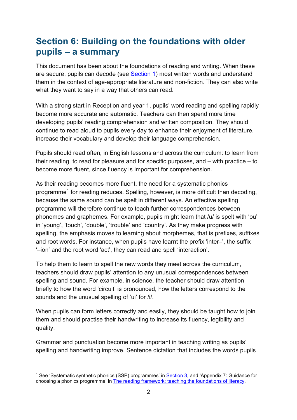## <span id="page-2-0"></span>**Section 6: Building on the foundations with older pupils – a summary**

This document has been about the foundations of reading and writing. When these are secure, pupils can decode (see [Section 1\)](https://www.gov.uk/government/publications/the-reading-framework-teaching-the-foundations-of-literacy) most written words and understand them in the context of age-appropriate literature and non-fiction. They can also write what they want to say in a way that others can read.

With a strong start in Reception and year 1, pupils' word reading and spelling rapidly become more accurate and automatic. Teachers can then spend more time developing pupils' reading comprehension and written composition. They should continue to read aloud to pupils every day to enhance their enjoyment of literature, increase their vocabulary and develop their language comprehension.

Pupils should read often, in English lessons and across the curriculum: to learn from their reading, to read for pleasure and for specific purposes, and – with practice – to become more fluent, since fluency is important for comprehension.

As their reading becomes more fluent, the need for a systematic phonics programme[1](#page-2-1) for reading reduces. Spelling, however, is more difficult than decoding, because the same sound can be spelt in different ways. An effective spelling programme will therefore continue to teach further correspondences between phonemes and graphemes. For example, pupils might learn that /u/ is spelt with 'ou' in 'young', 'touch', 'double', 'trouble' and 'country'. As they make progress with spelling, the emphasis moves to learning about morphemes, that is prefixes, suffixes and root words. For instance, when pupils have learnt the prefix 'inter–', the suffix '–ion' and the root word 'act', they can read and spell 'interaction'.

To help them to learn to spell the new words they meet across the curriculum, teachers should draw pupils' attention to any unusual correspondences between spelling and sound. For example, in science, the teacher should draw attention briefly to how the word 'circuit' is pronounced, how the letters correspond to the sounds and the unusual spelling of 'ui' for /i/.

When pupils can form letters correctly and easily, they should be taught how to join them and should practise their handwriting to increase its fluency, legibility and quality.

Grammar and punctuation become more important in teaching writing as pupils' spelling and handwriting improve. Sentence dictation that includes the words pupils

<span id="page-2-1"></span><sup>&</sup>lt;sup>1</sup> See 'Systematic synthetic phonics (SSP) programmes' in **Section 3**, and 'Appendix 7: Guidance for choosing a phonics programme' in [The reading framework: teaching the foundations of literacy.](https://www.gov.uk/government/publications/the-reading-framework-teaching-the-foundations-of-literacy)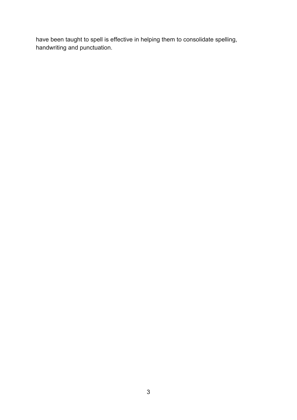have been taught to spell is effective in helping them to consolidate spelling, handwriting and punctuation.